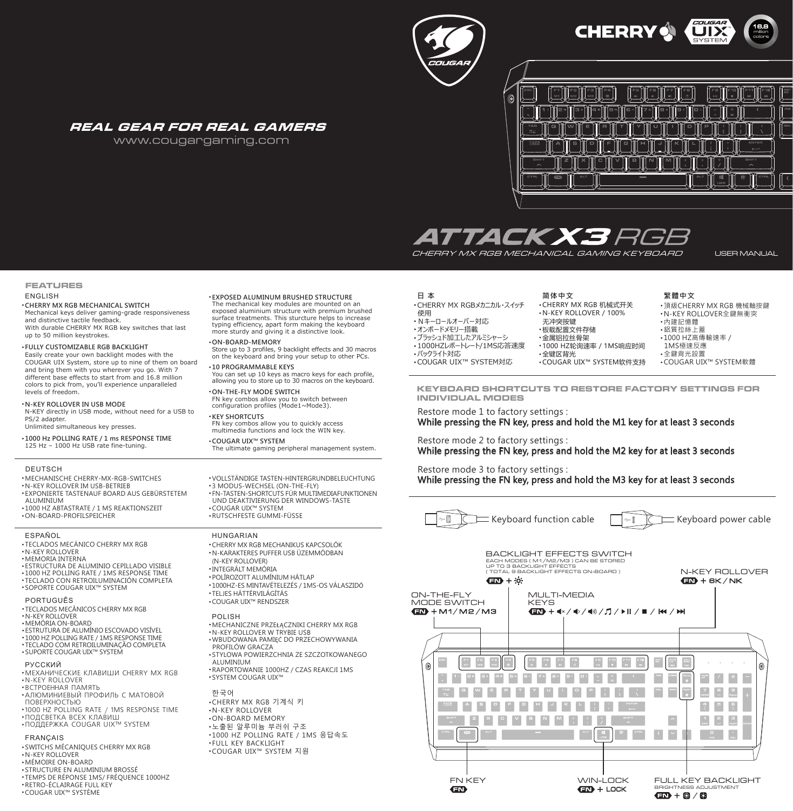



### REAL GEAR FOR REAL GAMERS

www.cougargaming.com



CHERRY MX RGB MECHANICAL GAMING KEYBOARD

**简体中文**

USER MANUAL

### **FEATURES**

### ENGLISH

### ● **CHERRY MX RGB MECHANICAL SWITCH**

 Mechanical keys deliver gaming-grade responsiveness and distinctive tactile feedback. With durable CHERRY MX RGB key switches that last up to 50 million keystrokes.

### ● **FULLY CUSTOMIZABLE RGB BACKLIGHT**

 Easily create your own backlight modes with the COUGAR UIX System, store up to nine of them on board and bring them with you wherever you go. With 7 different base effects to start from and 16.8 million colors to pick from, you'll experience unparalleled levels of freedom.

### ● **N-KEY ROLLOVER IN USB MODE**

 N-KEY directly in USB mode, without need for a USB to PS/2 adapter.

Unlimited simultaneous key presses.

● **1000 Hz POLLING RATE / 1 ms RESPONSE TIME** 125 Hz – 1000 Hz USB rate fine-tuning.

### **DEUTSCH**

• MECHANISCHE CHERRY-MX-RGB-SWITCHES

- N-KEY ROLLOVER IM USB-BETRIEB ● EXPONIERTE TASTENAUF BOARD AUS GEBÜRSTETEM
- ALUMINIUM ● 1000 HZ ABTASTRATE / 1 MS REAKTIONSZEIT
- ON-BOARD-PROFILSPEICHER

### ESPAÑOL

- TECLADOS MECÁNICO CHERRY MX RGB
- N-KEY ROLLOVER
- MEMORIA INTERNA
- ESTRUCTURA DE ALUMINIO CEPILLADO VISIBLE  $\cdot$  1000 HZ POLLING RATE / 1MS RESPONSE TIME
- 
- TECLADO CON RETROILUMINACION COMPLETA<br>• SOPORTE COUGAR UIX™ SYSTEM

### PORTUGUÊS

- TECLADOS MECÂNICOS CHERRY MX RGB
- N-KEY ROLLOVER
- MEMÓRIA ON-BOARD
- ESTRUTURA DE ALUMÍNIO ESCOVADO VISÍVEL
- 1000 HZ POLLING RATE / 1MS RESPONSE TIME ● TECLADO COM RETROILUMINAÇÃO COMPLETA
- SUPORTE COUGAR UIX™ SYSTEM

### РУССКИЙ

- МЕХАНИЧЕСКИЕ КЛАВИШИ CHERRY MX RGB ● N-KEY ROLLOVER
- $\cdot$   $BCTPOFHH A$ Я ПАМЯТЬ
- АЛЮМИНИЕВЫЙ ПРОФИЛЬ С МАТОВОЙ
- TIÓBEPXHOCTbIO ● 1000 HZ POLLING RATE / 1MS RESPONSE TIME
- $\cdot$ ПОДСВЕТКА ВСЕХ КЛАВИШ
- ПОДДЕРЖКА COUGAR UIX™ SYSTEM

### FRANÇAIS

- · SWITCHS MÉCANIQUES CHERRY MX RGB
- N-KEY ROLLOVER
- · MÉMOIRE ON-BOARD ● STRUCTURE EN ALUMINIUM BROSSÉ
- TEMPS DE RÉPONSE 1MS/ FRÉQUENCE 1000HZ
- RETRO-ÉCLAIRAGE FULL KEY
- COUGAR UIX™ SYSTÈME

### ● **EXPOSED ALUMINUM BRUSHED STRUCTURE**

 The mechanical key modules are mounted on an exposed aluminium structure with premium brushed surface treatments. This sturcture helps to increase typing efficiency, apart form making the keyboard more sturdy and giving it a distinctive look.

### ● **ON-BOARD-MEMORY**

Store up to 3 profiles, 9 backlight effects and 30 macros on the keyboard and bring your setup to other PCs.

● **10 PROGRAMMABLE KEYS**

 You can set up 10 keys as macro keys for each profile, allowing you to store up to 30 macros on the keyboard.

● **ON-THE-FLY MODE SWITCH** FN key combos allow you to switch between configuration profiles (Mode1~Mode3).

### ● **KEY SHORTCUTS**

 FN key combos allow you to quickly access multimedia functions and lock the WIN key.

# ● VOLLSTÄNDIGE TASTEN-HINTERGRUNDBELEUCHTUNG

- 3 MODUS-WECHSEL (ON-THE-FLY) ● FN-TASTEN-SHORTCUTS FÜR MULTIMEDIAFUNKTIONEN UND DEAKTIVIERUNG DER WINDOWS-TASTE ● COUGAR UIX™ SYSTEM ● RUTSCHFESTE GUMMI-FÜSSE ● CHERRY MX RGB MECHANIKUS KAPCSOLÓK ● N-KARAKTERES PUFFER USB ÜZEMMÓDBAN (N-KEY ROLLOVER) ● INTEGRÁLT MEMÓRIA ● POLÍROZOTT ALUMÍNIUM HÁTLAP ● 1000HZ-ES MINTAVÉTELEZÉS / 1MS-OS VÁLASZIDŐ HUNGARIAN
- TELJES HÁTTÉRVILÁGÍTÁS
- COUGAR UIX™ RENDSZER

### POLISH

- MECHANICZNE PRZEŁĄCZNIKI CHERRY MX RGB ● N-KEY ROLLOVER W TRYBIE USB · WBUDOWANA PAMIEĆ DO PRZECHOWYWANIA
- PROFILÓW GRACZA ● STYLOWA POWIERZCHNIA ZE SZCZOTKOWANEGO ALUMINIUM
- RAPORTOWANIE 1000HZ / CZAS REAKCJI 1MS ● SYSTEM COUGAR UIX™

한국어 • CHERRY MX RGB 기계식 키 ● N-KEY ROLLOVER ● ON-BOARD MEMORY • 노출된 알루미늄 부러쉬 구조 • 1000 HZ POLLING RATE / 1MS 응답속도 ● FULL KEY BACKLIGHT • COUGAR UIX™ SYSTEM 지원

### **日 本**

- CHERRY MX RGBメカニカル・スイッチ 使用 ● Nキーロールオーバー対応 • オンボードメモリー搭載 ● ブラッシュド加工したアルミシャーシ • 1000HZレポートレート/1MS応答速度
- バックライト対応
- COUGAR UIX™ SYSTEM対応
- 全键区背光 · COUGAR UIX™ SYSTEM软件支持

● CHERRY MX RGB 机械式开关 ● N-KEY ROLLOVER / 100% 无冲突按键 -<br>・板载配置文件存储 • 金属铝拉丝骨架 • 1000 HZ轮询速率 / 1MS响应时间

● 內建記憶體 • 鋁質拉絲上蓋 ● 1000 HZ高傳輸速率 / 1MS極速反應

**繁體中文**

• 全鍵背光設置

● 頂級CHERRY MX RGB 機械軸按鍵 ● N-KEY ROLLOVER全鍵無衝突

● COUGAR UIX™ SYSTEM軟體

**KEYBOARD SHORTCUTS TO RESTORE FACTORY SETTINGS FOR INDIVIDUAL MODES**

Restore mode 1 to factory settings :

### While pressing the FN key, press and hold the M1 key for at least 3 seconds

### Restore mode 2 to factory settings :

While pressing the FN key, press and hold the M2 key for at least 3 seconds

Restore mode 3 to factory settings : While pressing the FN key, press and hold the M3 key for at least 3 seconds





## ● **COUGAR UIX™ SYSTEM**

The ultimate gaming peripheral management system.